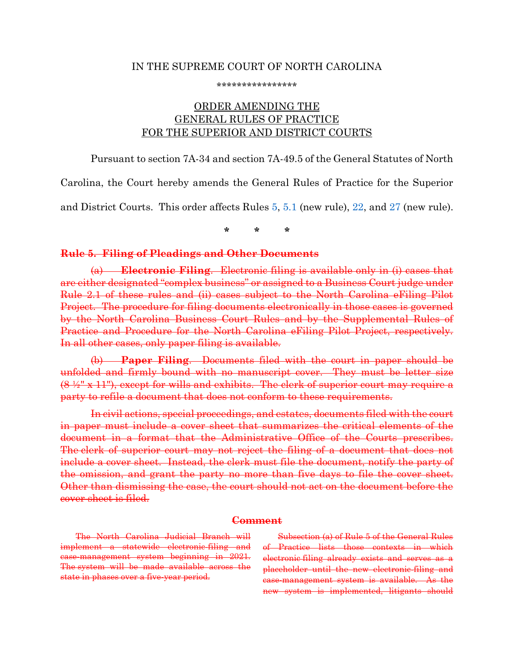#### IN THE SUPREME COURT OF NORTH CAROLINA

\*\*\*\*\*\*\*\*\*\*\*\*\*\*\*\*

# ORDER AMENDING THE GENERAL RULES OF PRACTICE FOR THE SUPERIOR AND DISTRICT COURTS

Pursuant to section 7A-34 and section 7A-49.5 of the General Statutes of North

Carolina, the Court hereby amends the General Rules of Practice for the Superior

and District Courts. This order affects Rules [5,](#page-0-0) [5.1](#page-3-0) (new rule), [22,](#page-4-0) and [27](#page-4-1) (new rule).

**\* \* \***

#### <span id="page-0-0"></span>**Rule 5. Filing of Pleadings and Other Documents**

(a) **Electronic Filing**. Electronic filing is available only in (i) cases that are either designated "complex business" or assigned to a Business Court judge under Rule 2.1 of these rules and (ii) cases subject to the North Carolina eFiling Pilot Project. The procedure for filing documents electronically in those cases is governed by the North Carolina Business Court Rules and by the Supplemental Rules of Practice and Procedure for the North Carolina eFiling Pilot Project, respectively. In all other cases, only paper filing is available.

(b) **Paper Filing**. Documents filed with the court in paper should be unfolded and firmly bound with no manuscript cover. They must be letter size  $(8 \frac{1}{2}$ " x 11"), except for wills and exhibits. The clerk of superior court may require a party to refile a document that does not conform to these requirements.

In civil actions, special proceedings, and estates, documents filed with the court in paper must include a cover sheet that summarizes the critical elements of the document in a format that the Administrative Office of the Courts prescribes. The clerk of superior court may not reject the filing of a document that does not include a cover sheet. Instead, the clerk must file the document, notify the party of the omission, and grant the party no more than five days to file the cover sheet. Other than dismissing the case, the court should not act on the document before the cover sheet is filed.

### **Comment**

The North Carolina Judicial Branch will implement a statewide electronic-filing and case-management system beginning in 2021. The system will be made available across the state in phases over a five-year period.

Subsection (a) of Rule 5 of the General Rules of Practice lists those contexts in which electronic filing already exists and serves as a placeholder until the new electronic-filing and case-management system is available. As the new system is implemented, litigants should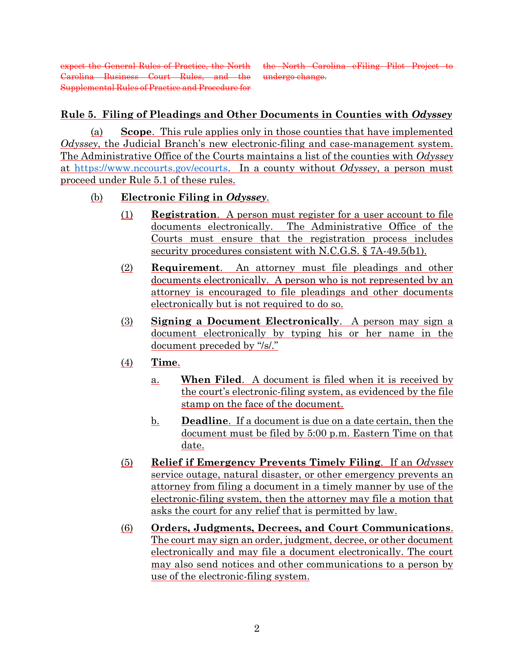expect the General Rules of Practice, the North Carolina Business Court Rules, and the Supplemental Rules of Practice and Procedure for

the North Carolina eFiling Pilot Project to undergo change.

# **Rule 5. Filing of Pleadings and Other Documents in Counties with** *Odyssey*

(a) **Scope**. This rule applies only in those counties that have implemented *Odyssey*, the Judicial Branch's new electronic-filing and case-management system. The Administrative Office of the Courts maintains a list of the counties with *Odyssey* at [https://www.nccourts.gov/ecourts.](https://www.nccourts.gov/ecourts) In a county without *Odyssey*, a person must proceed under Rule 5.1 of these rules.

## (b) **Electronic Filing in** *Odyssey*.

- (1) **Registration**. A person must register for a user account to file documents electronically. The Administrative Office of the Courts must ensure that the registration process includes security procedures consistent with N.C.G.S. § 7A-49.5(b1).
- (2) **Requirement**. An attorney must file pleadings and other documents electronically. A person who is not represented by an attorney is encouraged to file pleadings and other documents electronically but is not required to do so.
- (3) **Signing a Document Electronically**. A person may sign a document electronically by typing his or her name in the document preceded by "/s/."
- (4) **Time**.
	- a. **When Filed**. A document is filed when it is received by the court's electronic-filing system, as evidenced by the file stamp on the face of the document.
	- b. **Deadline**. If a document is due on a date certain, then the document must be filed by 5:00 p.m. Eastern Time on that date.
- (5) **Relief if Emergency Prevents Timely Filing**. If an *Odyssey* service outage, natural disaster, or other emergency prevents an attorney from filing a document in a timely manner by use of the electronic-filing system, then the attorney may file a motion that asks the court for any relief that is permitted by law.
- (6) **Orders, Judgments, Decrees, and Court Communications**. The court may sign an order, judgment, decree, or other document electronically and may file a document electronically. The court may also send notices and other communications to a person by use of the electronic-filing system.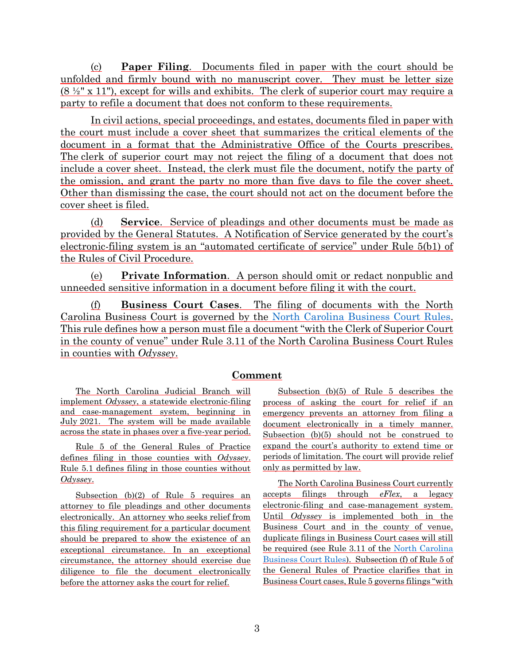(c) **Paper Filing**. Documents filed in paper with the court should be unfolded and firmly bound with no manuscript cover. They must be letter size  $(8 \frac{1}{2}$ " x 11"), except for wills and exhibits. The clerk of superior court may require a party to refile a document that does not conform to these requirements.

In civil actions, special proceedings, and estates, documents filed in paper with the court must include a cover sheet that summarizes the critical elements of the document in a format that the Administrative Office of the Courts prescribes. The clerk of superior court may not reject the filing of a document that does not include a cover sheet. Instead, the clerk must file the document, notify the party of the omission, and grant the party no more than five days to file the cover sheet. Other than dismissing the case, the court should not act on the document before the cover sheet is filed.

(d) **Service**. Service of pleadings and other documents must be made as provided by the General Statutes. A Notification of Service generated by the court's electronic-filing system is an "automated certificate of service" under Rule 5(b1) of the Rules of Civil Procedure.

(e) **Private Information**. A person should omit or redact nonpublic and unneeded sensitive information in a document before filing it with the court.

(f) **Business Court Cases**. The filing of documents with the North Carolina Business Court is governed by the [North Carolina Business Court Rules.](https://www.nccourts.gov/courts/supreme-court/court-rules/north-carolina-business-court-rules) This rule defines how a person must file a document "with the Clerk of Superior Court in the county of venue" under Rule 3.11 of the North Carolina Business Court Rules in counties with *Odyssey*.

### **Comment**

The North Carolina Judicial Branch will implement *Odyssey*, a statewide electronic-filing and case-management system, beginning in July 2021. The system will be made available across the state in phases over a five-year period.

Rule 5 of the General Rules of Practice defines filing in those counties with *Odyssey*. Rule 5.1 defines filing in those counties without *Odyssey*.

Subsection (b)(2) of Rule 5 requires an attorney to file pleadings and other documents electronically. An attorney who seeks relief from this filing requirement for a particular document should be prepared to show the existence of an exceptional circumstance. In an exceptional circumstance, the attorney should exercise due diligence to file the document electronically before the attorney asks the court for relief.

Subsection (b)(5) of Rule 5 describes the process of asking the court for relief if an emergency prevents an attorney from filing a document electronically in a timely manner. Subsection (b)(5) should not be construed to expand the court's authority to extend time or periods of limitation. The court will provide relief only as permitted by law.

The North Carolina Business Court currently accepts filings through *eFlex*, a legacy electronic-filing and case-management system. Until *Odyssey* is implemented both in the Business Court and in the county of venue, duplicate filings in Business Court cases will still be required (see Rule 3.11 of the [North Carolina](https://www.nccourts.gov/courts/supreme-court/court-rules/north-carolina-business-court-rules)  [Business Court Rules\)](https://www.nccourts.gov/courts/supreme-court/court-rules/north-carolina-business-court-rules). Subsection (f) of Rule 5 of the General Rules of Practice clarifies that in Business Court cases, Rule 5 governs filings "with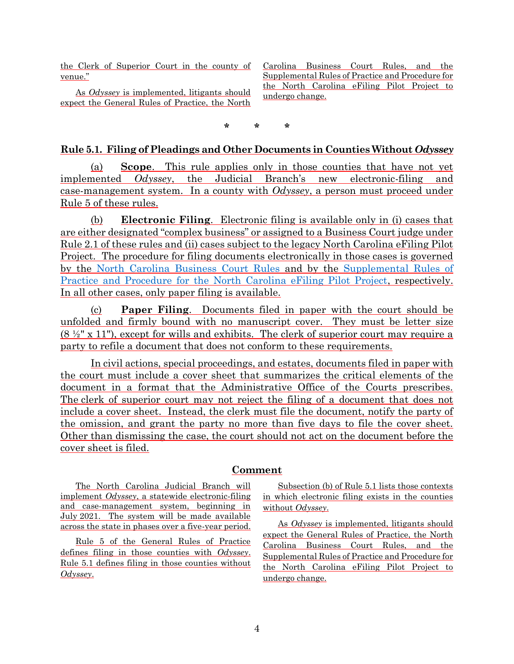the Clerk of Superior Court in the county of venue."

As *Odyssey* is implemented, litigants should expect the General Rules of Practice, the North

Carolina Business Court Rules, and the Supplemental Rules of Practice and Procedure for the North Carolina eFiling Pilot Project to undergo change.

**\* \* \***

#### <span id="page-3-0"></span>**Rule 5.1. Filing of Pleadings and Other Documents in Counties Without** *Odyssey*

(a) **Scope**. This rule applies only in those counties that have not yet implemented *Odyssey*, the Judicial Branch's new electronic-filing and case-management system. In a county with *Odyssey*, a person must proceed under Rule 5 of these rules.

(b) **Electronic Filing**. Electronic filing is available only in (i) cases that are either designated "complex business" or assigned to a Business Court judge under Rule 2.1 of these rules and (ii) cases subject to the legacy North Carolina eFiling Pilot Project. The procedure for filing documents electronically in those cases is governed by the [North Carolina Business Court Rules](https://www.nccourts.gov/courts/supreme-court/court-rules/north-carolina-business-court-rules) and by the [Supplemental Rules of](https://www.nccourts.gov/courts/supreme-court/court-rules/supplemental-rules-of-practice-and-procedure-for-the-north-carolina-efiling-pilot-project) [Practice and Procedure for the North Carolina eFiling Pilot Project,](https://www.nccourts.gov/courts/supreme-court/court-rules/supplemental-rules-of-practice-and-procedure-for-the-north-carolina-efiling-pilot-project) respectively. In all other cases, only paper filing is available.

(c) **Paper Filing**. Documents filed in paper with the court should be unfolded and firmly bound with no manuscript cover. They must be letter size  $(8 \frac{1}{2}$ " x 11"), except for wills and exhibits. The clerk of superior court may require a party to refile a document that does not conform to these requirements.

In civil actions, special proceedings, and estates, documents filed in paper with the court must include a cover sheet that summarizes the critical elements of the document in a format that the Administrative Office of the Courts prescribes. The clerk of superior court may not reject the filing of a document that does not include a cover sheet. Instead, the clerk must file the document, notify the party of the omission, and grant the party no more than five days to file the cover sheet. Other than dismissing the case, the court should not act on the document before the cover sheet is filed.

### **Comment**

The North Carolina Judicial Branch will implement *Odyssey*, a statewide electronic-filing and case-management system, beginning in July 2021. The system will be made available across the state in phases over a five-year period.

Rule 5 of the General Rules of Practice defines filing in those counties with *Odyssey*. Rule 5.1 defines filing in those counties without *Odyssey*.

Subsection (b) of Rule 5.1 lists those contexts in which electronic filing exists in the counties without *Odyssey*.

As *Odyssey* is implemented, litigants should expect the General Rules of Practice, the North Carolina Business Court Rules, and the Supplemental Rules of Practice and Procedure for the North Carolina eFiling Pilot Project to undergo change.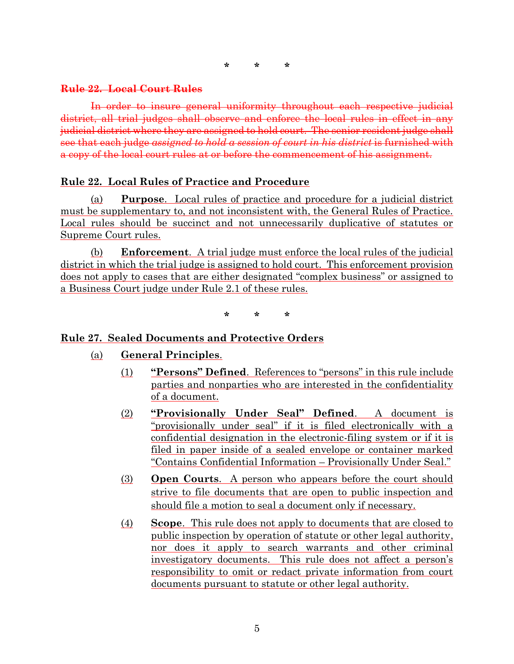#### <span id="page-4-0"></span>**Rule 22. Local Court Rules**

In order to insure general uniformity throughout each respective judicial district, all trial judges shall observe and enforce the local rules in effect in any judicial district where they are assigned to hold court. The senior resident judge shall see that each judge *assigned to hold a session of court in his district* is furnished with a copy of the local court rules at or before the commencement of his assignment.

### **Rule 22. Local Rules of Practice and Procedure**

(a) **Purpose**. Local rules of practice and procedure for a judicial district must be supplementary to, and not inconsistent with, the General Rules of Practice. Local rules should be succinct and not unnecessarily duplicative of statutes or Supreme Court rules.

(b) **Enforcement**. A trial judge must enforce the local rules of the judicial district in which the trial judge is assigned to hold court. This enforcement provision does not apply to cases that are either designated "complex business" or assigned to a Business Court judge under Rule 2.1 of these rules.

**\* \* \***

### <span id="page-4-1"></span>**Rule 27. Sealed Documents and Protective Orders**

- (a) **General Principles**.
	- (1) **"Persons" Defined**. References to "persons" in this rule include parties and nonparties who are interested in the confidentiality of a document.
	- (2) **"Provisionally Under Seal" Defined**. A document is "provisionally under seal" if it is filed electronically with a confidential designation in the electronic-filing system or if it is filed in paper inside of a sealed envelope or container marked "Contains Confidential Information – Provisionally Under Seal."
	- (3) **Open Courts**. A person who appears before the court should strive to file documents that are open to public inspection and should file a motion to seal a document only if necessary.
	- (4) **Scope**. This rule does not apply to documents that are closed to public inspection by operation of statute or other legal authority, nor does it apply to search warrants and other criminal investigatory documents. This rule does not affect a person's responsibility to omit or redact private information from court documents pursuant to statute or other legal authority.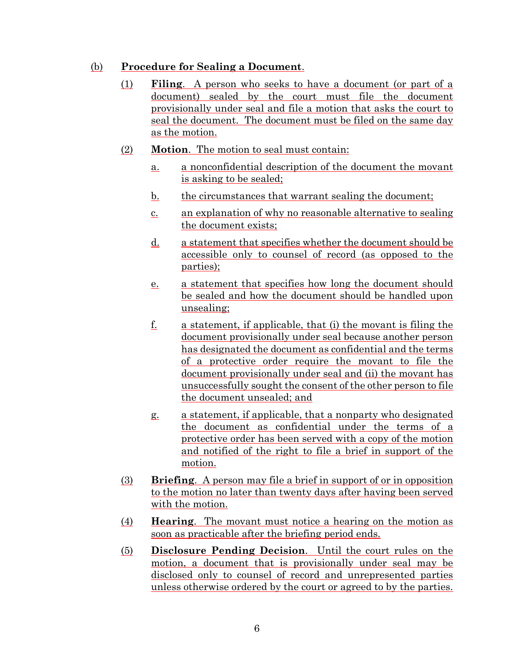## (b) **Procedure for Sealing a Document**.

- (1) **Filing**. A person who seeks to have a document (or part of a document) sealed by the court must file the document provisionally under seal and file a motion that asks the court to seal the document. The document must be filed on the same day as the motion.
- (2) **Motion**. The motion to seal must contain:
	- a. a nonconfidential description of the document the movant is asking to be sealed;
	- b. the circumstances that warrant sealing the document;
	- c. an explanation of why no reasonable alternative to sealing the document exists;
	- d. a statement that specifies whether the document should be accessible only to counsel of record (as opposed to the parties);
	- e. a statement that specifies how long the document should be sealed and how the document should be handled upon unsealing;
	- $f<sub>i</sub>$  a statement, if applicable, that (i) the movant is filing the document provisionally under seal because another person has designated the document as confidential and the terms of a protective order require the movant to file the document provisionally under seal and (ii) the movant has unsuccessfully sought the consent of the other person to file the document unsealed; and
	- g. a statement, if applicable, that a nonparty who designated the document as confidential under the terms of a protective order has been served with a copy of the motion and notified of the right to file a brief in support of the motion.
- (3) **Briefing**. A person may file a brief in support of or in opposition to the motion no later than twenty days after having been served with the motion.
- (4) **Hearing**. The movant must notice a hearing on the motion as soon as practicable after the briefing period ends.
- (5) **Disclosure Pending Decision**. Until the court rules on the motion, a document that is provisionally under seal may be disclosed only to counsel of record and unrepresented parties unless otherwise ordered by the court or agreed to by the parties.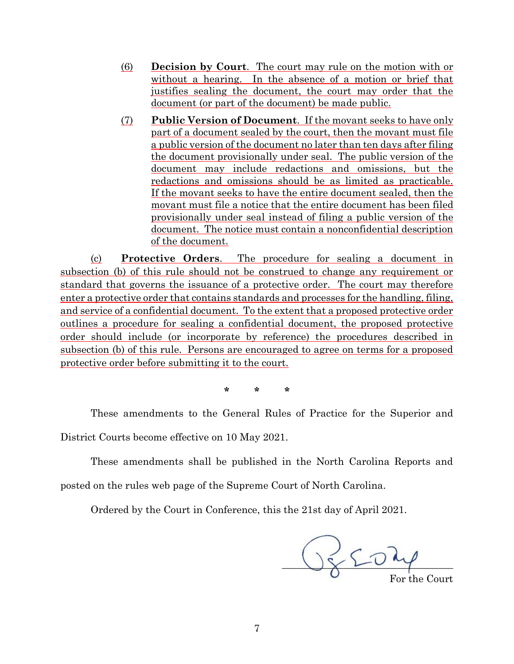- (6) **Decision by Court**. The court may rule on the motion with or without a hearing. In the absence of a motion or brief that justifies sealing the document, the court may order that the document (or part of the document) be made public.
- (7) **Public Version of Document**. If the movant seeks to have only part of a document sealed by the court, then the movant must file a public version of the document no later than ten days after filing the document provisionally under seal. The public version of the document may include redactions and omissions, but the redactions and omissions should be as limited as practicable. If the movant seeks to have the entire document sealed, then the movant must file a notice that the entire document has been filed provisionally under seal instead of filing a public version of the document. The notice must contain a nonconfidential description of the document.

(c) **Protective Orders**. The procedure for sealing a document in subsection (b) of this rule should not be construed to change any requirement or standard that governs the issuance of a protective order. The court may therefore enter a protective order that contains standards and processes for the handling, filing, and service of a confidential document. To the extent that a proposed protective order outlines a procedure for sealing a confidential document, the proposed protective order should include (or incorporate by reference) the procedures described in subsection (b) of this rule. Persons are encouraged to agree on terms for a proposed protective order before submitting it to the court.

**\* \* \***

These amendments to the General Rules of Practice for the Superior and

District Courts become effective on 10 May 2021.

These amendments shall be published in the North Carolina Reports and

posted on the rules web page of the Supreme Court of North Carolina.

Ordered by the Court in Conference, this the 21st day of April 2021.

 $\frac{1}{2}$   $\frac{1}{2}$   $\frac{1}{2}$ For the Court